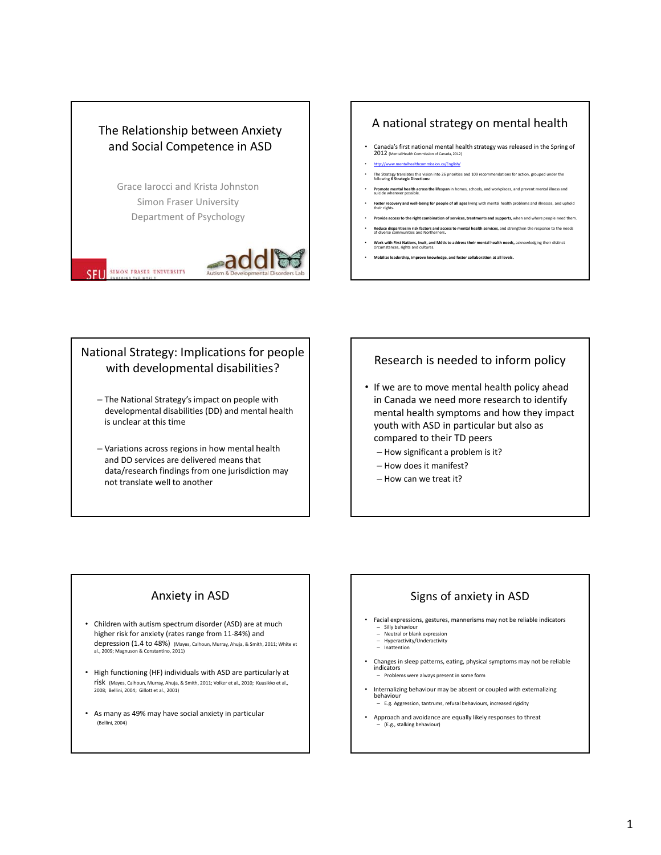

#### A national strategy on mental health

- Canada's first national mental health strategy was released in the Spring of  $2012$  (Mental Health Commission of Canada, 2012)
- http://www.mentalhealthcommission.ca/English/
- The Strategy translates this vision into <sup>26</sup> priorities and <sup>109</sup> recommendations for action, grouped under the following **<sup>6</sup> Strategic Directions: Promote mental health across the lifespan** in homes, schools, and workplaces, and prevent mental illness and<br>Suicide wherever possible.
- **Foster recovery and well‐being for people of all ages**living with mental health problems and illnesses, and uphold their rights.
- **Provide access to the right combination of services, treatments and supports,** when and where people need them.
- Reduce disparities in risk factors and access to mental health services, and strengthen the response to the needs<br>of diverse communities and Northerners
- **Work with First Nations, Inuit, and Métisto addresstheir mental health needs,** acknowledging their distinct circumstances, rights and cultures.
- **Mobilize leadership, improve knowledge, and foster collaboration at all levels.**

# National Strategy: Implications for people with developmental disabilities?

- The National Strategy's impact on people with developmental disabilities (DD) and mental health is unclear at this time
- Variations across regions in how mental health and DD services are delivered means that data/research findings from one jurisdiction may not translate well to another

### Research is needed to inform policy

- If we are to move mental health policy ahead in Canada we need more research to identify mental health symptoms and how they impact youth with ASD in particular but also as compared to their TD peers
	- How significant a problem is it?
	- How does it manifest?
	- How can we treat it?

# Anxiety in ASD

- Children with autism spectrum disorder (ASD) are at much higher risk for anxiety (rates range from 11‐84%) and depression (1.4 to 48%) (Mayes, Calhoun, Murray, Ahuja, & Smith, 2011; White et al., 2009; Magnuson & Constantino, 2011)
- High functioning (HF) individuals with ASD are particularly at risk (Mayes, Calhoun, Murray, Ahuja, & Smith, 2011; Volker et al., 2010; Kuusikko et al., 2008; Bellini, 2004; Gillott et al., 2001)
- As many as 49% may have social anxiety in particular (Bellini, 2004)

# Signs of anxiety in ASD

- Facial expressions, gestures, mannerisms may not be reliable indicators
	- Silly behaviour Neutral or blank expression
	- Hyperactivity/Underactivity Inattention
- Changes in sleep patterns, eating, physical symptoms may not be reliable indicators
- Problems were always present in some form • Internalizing behaviour may be absent or coupled with externalizing behaviour
	- E.g. Aggression, tantrums, refusal behaviours, increased rigidity
- Approach and avoidance are equally likely responses to threat – (E.g., stalking behaviour)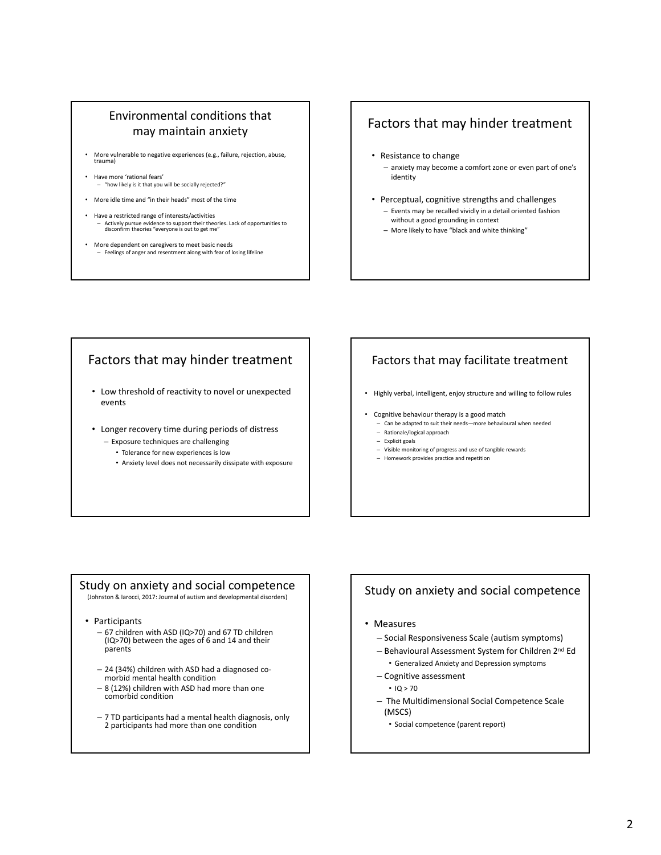# Environmental conditions that may maintain anxiety

- More vulnerable to negative experiences (e.g., failure, rejection, abuse, trauma)
- Have more 'rational fears' – "how likely is it that you will be socially rejected?"
- More idle time and "in their heads" most of the time
- Have a restricted range of interests/activities – Actively pursue evidence to support their theories. Lack of opportunities to disconfirm theories "everyone is out to get me"
- More dependent on caregivers to meet basic needs – Feelings of anger and resentment along with fear of losing lifeline

# Factors that may hinder treatment

- Resistance to change – anxiety may become a comfort zone or even part of one's identity
- Perceptual, cognitive strengths and challenges – Events may be recalled vividly in a detail oriented fashion without a good grounding in context
	- More likely to have "black and white thinking"

# Factors that may hinder treatment

- Low threshold of reactivity to novel or unexpected events
- Longer recovery time during periods of distress
	- Exposure techniques are challenging
		- Tolerance for new experiences is low
		- Anxiety level does not necessarily dissipate with exposure

# Factors that may facilitate treatment

- Highly verbal, intelligent, enjoy structure and willing to follow rules
- Cognitive behaviour therapy is a good match
- Can be adapted to suit their needs—more behavioural when needed
- Rationale/logical approach
- Explicit goals
- Visible monitoring of progress and use of tangible rewards
- Homework provides practice and repetition

# Study on anxiety and social competence

(Johnston & Iarocci, 2017: Journal of autism and developmental disorders)

- Participants
	- 67 children with ASD (IQ>70) and 67 TD children (IQ>70) between the ages of 6 and 14 and their parents
	- <sup>24</sup> (34%) children with ASD had <sup>a</sup> diagnosed co‐ morbid mental health condition
	- <sup>8</sup> (12%) children with ASD had more than one comorbid condition
	- 7 TD participants had a mental health diagnosis, only 2 participants had more than one condition

## Study on anxiety and social competence

- Measures
	- Social Responsiveness Scale (autism symptoms)
	- Behavioural Assessment System for Children 2nd Ed
		- Generalized Anxiety and Depression symptoms
	- Cognitive assessment
		- $\cdot$  IQ  $>$  70
	- The Multidimensional Social Competence Scale (MSCS)
		- Social competence (parent report)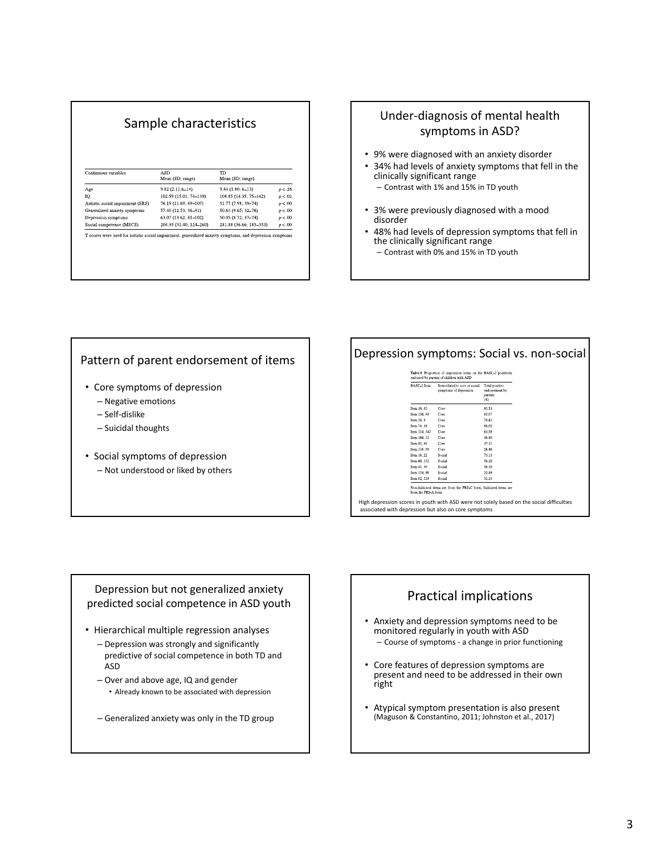| Sample characteristics                                                                                   |                                |                               |         |  |
|----------------------------------------------------------------------------------------------------------|--------------------------------|-------------------------------|---------|--|
|                                                                                                          |                                |                               |         |  |
| Continuous variables                                                                                     | <b>ASD</b><br>Mean (SD; range) | <b>TD</b><br>Mean (SD; range) |         |  |
| Age                                                                                                      | $9.82(2.11;6-14)$              | $9.44(1.80; 6-13)$            | p < .26 |  |
| IQ                                                                                                       | 102.59 (15.01: 74-139)         | 108.85 (14.35; 75-142)        | p < .02 |  |
| Autistic social impairment (SRS)                                                                         | 76.19 (11.69; 49-107)          | 51.77 (7.98: 39-74)           | p < .00 |  |
| Generalized anxiety symptoms                                                                             | 57.40 (12.53; 36-91)           | 50.64 (9.65; 32-76)           | p < .00 |  |
| Depression symptoms                                                                                      | 63.07 (13.62; 41-102)          | 50.05 (8.72; 37-74)           | p < .00 |  |
| Social competence (MSCS)                                                                                 | 204.95 (31.40; 124-260)        | 281.88 (36.66; 185-353)       | p < .00 |  |
| T scores were used for autistic social impairment, generalized anxiety symptoms, and depression symptoms |                                |                               |         |  |

# Under-diagnosis of mental health symptoms in ASD?

- 9% were diagnosed with an anxiety disorder
- 34% had levels of anxiety symptoms that fell in the clinically significant range – Contrast with 1% and 15% in TD youth
- 3% were previously diagnosed with a mood disorder
- 48% had levels of depression symptoms that fell in the clinically significant range
	- Contrast with 0% and 15% in TD youth

#### Pattern of parent endorsement of items

- Core symptoms of depression
	- Negative emotions
	- Self‐dislike
	- Suicidal thoughts
- Social symptoms of depression – Not understood or liked by others

# Depression symptoms: Social vs. non‐social

| BASC-2 Item   | Item related to core or social<br>symptoms of depression | Total positive<br>endorsement by<br>parents<br>(%) |
|---------------|----------------------------------------------------------|----------------------------------------------------|
| Item 10, 82   | Core                                                     | 92.53                                              |
| Item 156, 68  | Core                                                     | 85.07                                              |
| Item $28.8$   | Core                                                     | 74.62                                              |
| Item 74, 38   | Core                                                     | 88.05                                              |
| Item 114, 142 | Core                                                     | 83.58                                              |
| Item 106, 52  | Core                                                     | 38.80                                              |
| Item 92, 90   | Core                                                     | 37.31                                              |
| Item 138, 60  | Core                                                     | 26.86                                              |
| Item 18, 22   | Social                                                   | 73.13                                              |
| Item 60, 112  | Social                                                   | 58.20                                              |
| Item 42, 30   | Social                                                   | 58.20                                              |
| Item 124.98   | Social                                                   | 20.89                                              |
| Item 82, 128  | Social                                                   | 52.23                                              |

High depression scores in youth with ASD were not solely based on the social difficulties associated with depression but also on core symptoms

#### Depression but not generalized anxiety predicted social competence in ASD youth

- Hierarchical multiple regression analyses
	- Depression was strongly and significantly predictive of social competence in both TD and ASD
	- Over and above age, IQ and gender • Already known to be associated with depression
	- Generalized anxiety was only in the TD group

# Practical implications

- Anxiety and depression symptoms need to be monitored regularly in youth with ASD – Course of symptoms ‐ a change in prior functioning
- Core features of depression symptoms are present and need to be addressed in their own right
- Atypical symptom presentation is also present (Maguson & Constantino, 2011; Johnston et al., 2017)